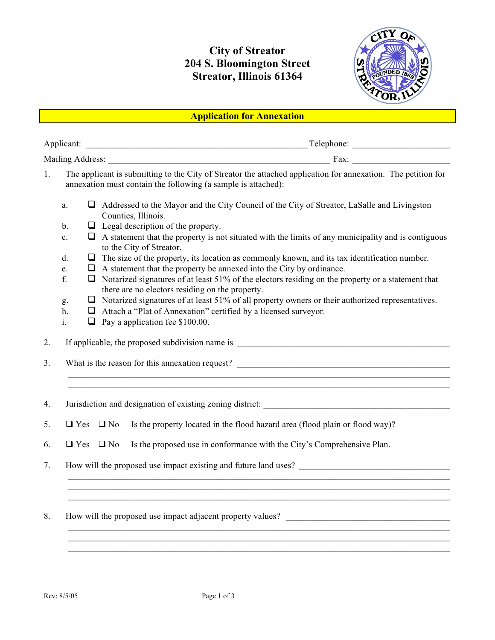## **City of Streator 204 S. Bloomington Street Streator, Illinois 61364**



## **Application for Annexation**

| Applicant:       |      |
|------------------|------|
| Mailing Address: | 'ax. |

- 1. The applicant is submitting to the City of Streator the attached application for annexation. The petition for annexation must contain the following (a sample is attached):
	- a.  $\Box$  Addressed to the Mayor and the City Council of the City of Streator, LaSalle and Livingston Counties, Illinois.
	- b.  $\Box$  Legal description of the property.
	- c.  $\Box$  A statement that the property is not situated with the limits of any municipality and is contiguous to the City of Streator.
	- d.  $\Box$  The size of the property, its location as commonly known, and its tax identification number.
	- e.  $\Box$  A statement that the property be annexed into the City by ordinance.
	- f.  $\Box$  Notarized signatures of at least 51% of the electors residing on the property or a statement that there are no electors residing on the property.
	- g.  $\Box$  Notarized signatures of at least 51% of all property owners or their authorized representatives.

 $\mathcal{L}_\text{max} = \mathcal{L}_\text{max} = \mathcal{L}_\text{max} = \mathcal{L}_\text{max} = \mathcal{L}_\text{max} = \mathcal{L}_\text{max} = \mathcal{L}_\text{max} = \mathcal{L}_\text{max} = \mathcal{L}_\text{max} = \mathcal{L}_\text{max} = \mathcal{L}_\text{max} = \mathcal{L}_\text{max} = \mathcal{L}_\text{max} = \mathcal{L}_\text{max} = \mathcal{L}_\text{max} = \mathcal{L}_\text{max} = \mathcal{L}_\text{max} = \mathcal{L}_\text{max} = \mathcal{$  $\mathcal{L}_\text{max} = \mathcal{L}_\text{max} = \mathcal{L}_\text{max} = \mathcal{L}_\text{max} = \mathcal{L}_\text{max} = \mathcal{L}_\text{max} = \mathcal{L}_\text{max} = \mathcal{L}_\text{max} = \mathcal{L}_\text{max} = \mathcal{L}_\text{max} = \mathcal{L}_\text{max} = \mathcal{L}_\text{max} = \mathcal{L}_\text{max} = \mathcal{L}_\text{max} = \mathcal{L}_\text{max} = \mathcal{L}_\text{max} = \mathcal{L}_\text{max} = \mathcal{L}_\text{max} = \mathcal{$ 

 $\mathcal{L}_\text{max} = \mathcal{L}_\text{max} = \mathcal{L}_\text{max} = \mathcal{L}_\text{max} = \mathcal{L}_\text{max} = \mathcal{L}_\text{max} = \mathcal{L}_\text{max} = \mathcal{L}_\text{max} = \mathcal{L}_\text{max} = \mathcal{L}_\text{max} = \mathcal{L}_\text{max} = \mathcal{L}_\text{max} = \mathcal{L}_\text{max} = \mathcal{L}_\text{max} = \mathcal{L}_\text{max} = \mathcal{L}_\text{max} = \mathcal{L}_\text{max} = \mathcal{L}_\text{max} = \mathcal{$  $\mathcal{L}_\text{max} = \mathcal{L}_\text{max} = \mathcal{L}_\text{max} = \mathcal{L}_\text{max} = \mathcal{L}_\text{max} = \mathcal{L}_\text{max} = \mathcal{L}_\text{max} = \mathcal{L}_\text{max} = \mathcal{L}_\text{max} = \mathcal{L}_\text{max} = \mathcal{L}_\text{max} = \mathcal{L}_\text{max} = \mathcal{L}_\text{max} = \mathcal{L}_\text{max} = \mathcal{L}_\text{max} = \mathcal{L}_\text{max} = \mathcal{L}_\text{max} = \mathcal{L}_\text{max} = \mathcal{$  $\mathcal{L}_\text{max} = \mathcal{L}_\text{max} = \mathcal{L}_\text{max} = \mathcal{L}_\text{max} = \mathcal{L}_\text{max} = \mathcal{L}_\text{max} = \mathcal{L}_\text{max} = \mathcal{L}_\text{max} = \mathcal{L}_\text{max} = \mathcal{L}_\text{max} = \mathcal{L}_\text{max} = \mathcal{L}_\text{max} = \mathcal{L}_\text{max} = \mathcal{L}_\text{max} = \mathcal{L}_\text{max} = \mathcal{L}_\text{max} = \mathcal{L}_\text{max} = \mathcal{L}_\text{max} = \mathcal{$ 

 $\mathcal{L}_\text{max} = \mathcal{L}_\text{max} = \mathcal{L}_\text{max} = \mathcal{L}_\text{max} = \mathcal{L}_\text{max} = \mathcal{L}_\text{max} = \mathcal{L}_\text{max} = \mathcal{L}_\text{max} = \mathcal{L}_\text{max} = \mathcal{L}_\text{max} = \mathcal{L}_\text{max} = \mathcal{L}_\text{max} = \mathcal{L}_\text{max} = \mathcal{L}_\text{max} = \mathcal{L}_\text{max} = \mathcal{L}_\text{max} = \mathcal{L}_\text{max} = \mathcal{L}_\text{max} = \mathcal{$  $\mathcal{L}_\text{max} = \mathcal{L}_\text{max} = \mathcal{L}_\text{max} = \mathcal{L}_\text{max} = \mathcal{L}_\text{max} = \mathcal{L}_\text{max} = \mathcal{L}_\text{max} = \mathcal{L}_\text{max} = \mathcal{L}_\text{max} = \mathcal{L}_\text{max} = \mathcal{L}_\text{max} = \mathcal{L}_\text{max} = \mathcal{L}_\text{max} = \mathcal{L}_\text{max} = \mathcal{L}_\text{max} = \mathcal{L}_\text{max} = \mathcal{L}_\text{max} = \mathcal{L}_\text{max} = \mathcal{$  $\mathcal{L}_\text{max} = \mathcal{L}_\text{max} = \mathcal{L}_\text{max} = \mathcal{L}_\text{max} = \mathcal{L}_\text{max} = \mathcal{L}_\text{max} = \mathcal{L}_\text{max} = \mathcal{L}_\text{max} = \mathcal{L}_\text{max} = \mathcal{L}_\text{max} = \mathcal{L}_\text{max} = \mathcal{L}_\text{max} = \mathcal{L}_\text{max} = \mathcal{L}_\text{max} = \mathcal{L}_\text{max} = \mathcal{L}_\text{max} = \mathcal{L}_\text{max} = \mathcal{L}_\text{max} = \mathcal{$ 

- h.  $\Box$  Attach a "Plat of Annexation" certified by a licensed surveyor.
- i.  $\Box$  Pay a application fee \$100.00.
- 2. If applicable, the proposed subdivision name is \_\_\_\_\_\_\_\_\_\_\_\_\_\_\_\_\_\_\_\_\_\_\_\_\_\_\_\_\_\_\_\_\_\_\_\_\_\_\_\_\_\_\_\_\_\_\_\_
- 3. What is the reason for this annexation request?
- 4. Jurisdiction and designation of existing zoning district:
- 5.  $\Box$  Yes  $\Box$  No Is the property located in the flood hazard area (flood plain or flood way)?
- 6.  $\Box$  Yes  $\Box$  No Is the proposed use in conformance with the City's Comprehensive Plan.
- 7. How will the proposed use impact existing and future land uses?
- 8. How will the proposed use impact adjacent property values? \_\_\_\_\_\_\_\_\_\_\_\_\_\_\_\_\_\_\_\_\_\_\_\_\_\_\_\_\_\_\_\_\_\_\_\_\_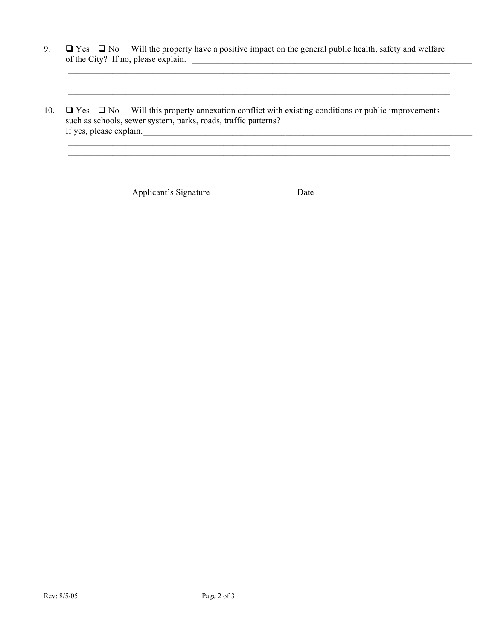- 9.  $\Box$  Yes  $\Box$  No Will the property have a positive impact on the general public health, safety and welfare of the City? If no, please explain.
- $\Box$  Yes  $\Box$  No Will this property annexation conflict with existing conditions or public improvements 10. such as schools, sewer system, parks, roads, traffic patterns? If yes, please explain.

Applicant's Signature

Date